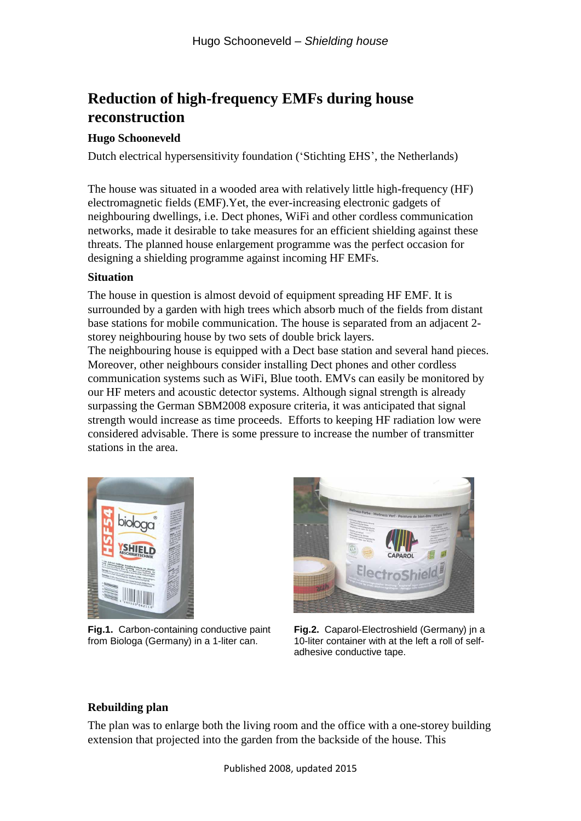# **Reduction of high-frequency EMFs during house reconstruction**

# **Hugo Schooneveld**

Dutch electrical hypersensitivity foundation ('Stichting EHS', the Netherlands)

The house was situated in a wooded area with relatively little high-frequency (HF) electromagnetic fields (EMF).Yet, the ever-increasing electronic gadgets of neighbouring dwellings, i.e. Dect phones, WiFi and other cordless communication networks, made it desirable to take measures for an efficient shielding against these threats. The planned house enlargement programme was the perfect occasion for designing a shielding programme against incoming HF EMFs.

#### **Situation**

The house in question is almost devoid of equipment spreading HF EMF. It is surrounded by a garden with high trees which absorb much of the fields from distant base stations for mobile communication. The house is separated from an adjacent 2 storey neighbouring house by two sets of double brick layers.

The neighbouring house is equipped with a Dect base station and several hand pieces. Moreover, other neighbours consider installing Dect phones and other cordless communication systems such as WiFi, Blue tooth. EMVs can easily be monitored by our HF meters and acoustic detector systems. Although signal strength is already surpassing the German SBM2008 exposure criteria, it was anticipated that signal strength would increase as time proceeds. Efforts to keeping HF radiation low were considered advisable. There is some pressure to increase the number of transmitter stations in the area.



**Fig.1.** Carbon-containing conductive paint from Biologa (Germany) in a 1-liter can.



**Fig.2.** Caparol-Electroshield (Germany) jn a 10-liter container with at the left a roll of selfadhesive conductive tape.

## **Rebuilding plan**

The plan was to enlarge both the living room and the office with a one-storey building extension that projected into the garden from the backside of the house. This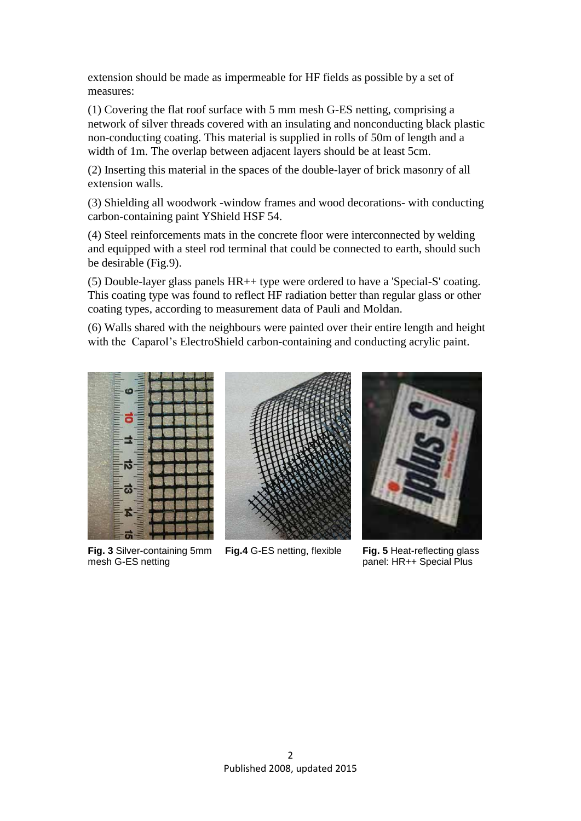extension should be made as impermeable for HF fields as possible by a set of measures:

(1) Covering the flat roof surface with 5 mm mesh G-ES netting, comprising a network of silver threads covered with an insulating and nonconducting black plastic non-conducting coating. This material is supplied in rolls of 50m of length and a width of 1m. The overlap between adjacent layers should be at least 5cm.

(2) Inserting this material in the spaces of the double-layer of brick masonry of all extension walls.

(3) Shielding all woodwork -window frames and wood decorations- with conducting carbon-containing paint YShield HSF 54.

(4) Steel reinforcements mats in the concrete floor were interconnected by welding and equipped with a steel rod terminal that could be connected to earth, should such be desirable (Fig.9).

(5) Double-layer glass panels HR++ type were ordered to have a 'Special-S' coating. This coating type was found to reflect HF radiation better than regular glass or other coating types, according to measurement data of Pauli and Moldan.

(6) Walls shared with the neighbours were painted over their entire length and height with the Caparol's ElectroShield carbon-containing and conducting acrylic paint.



**Fig. 3** Silver-containing 5mm mesh G-ES netting



**Fig.4** G-ES netting, flexible **Fig. 5** Heat-reflecting glass



panel: HR++ Special Plus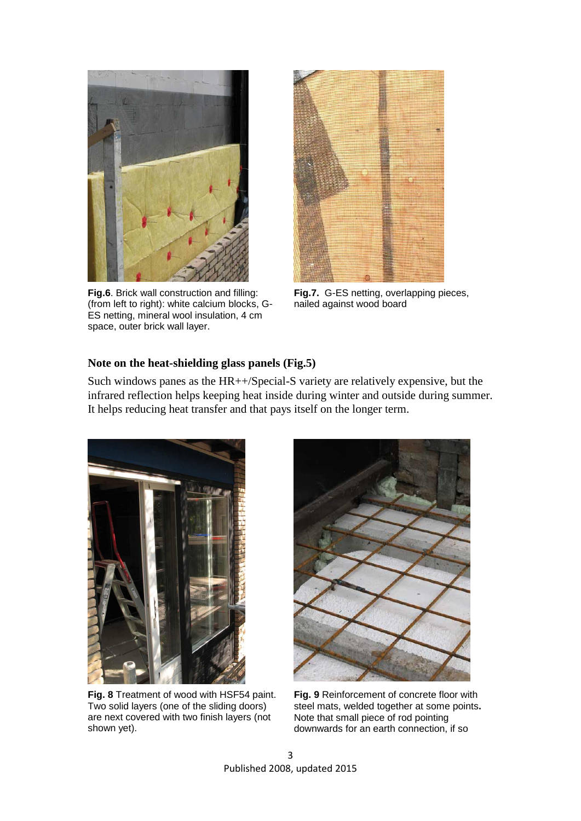

**Fig.6**. Brick wall construction and filling: (from left to right): white calcium blocks, G-ES netting, mineral wool insulation, 4 cm space, outer brick wall layer.



**Fig.7.** G-ES netting, overlapping pieces, nailed against wood board

#### **Note on the heat-shielding glass panels (Fig.5)**

Such windows panes as the HR++/Special-S variety are relatively expensive, but the infrared reflection helps keeping heat inside during winter and outside during summer. It helps reducing heat transfer and that pays itself on the longer term.



**Fig. 8** Treatment of wood with HSF54 paint. Two solid layers (one of the sliding doors) are next covered with two finish layers (not shown yet).



**Fig. 9** Reinforcement of concrete floor with steel mats, welded together at some points**.**  Note that small piece of rod pointing downwards for an earth connection, if so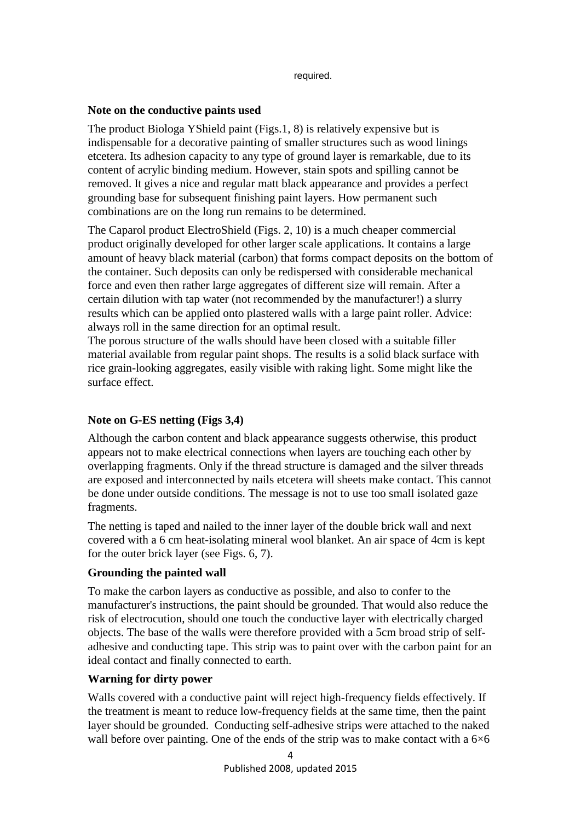required.

#### **Note on the conductive paints used**

The product Biologa YShield paint (Figs.1, 8) is relatively expensive but is indispensable for a decorative painting of smaller structures such as wood linings etcetera. Its adhesion capacity to any type of ground layer is remarkable, due to its content of acrylic binding medium. However, stain spots and spilling cannot be removed. It gives a nice and regular matt black appearance and provides a perfect grounding base for subsequent finishing paint layers. How permanent such combinations are on the long run remains to be determined.

The Caparol product ElectroShield (Figs. 2, 10) is a much cheaper commercial product originally developed for other larger scale applications. It contains a large amount of heavy black material (carbon) that forms compact deposits on the bottom of the container. Such deposits can only be redispersed with considerable mechanical force and even then rather large aggregates of different size will remain. After a certain dilution with tap water (not recommended by the manufacturer!) a slurry results which can be applied onto plastered walls with a large paint roller. Advice: always roll in the same direction for an optimal result.

The porous structure of the walls should have been closed with a suitable filler material available from regular paint shops. The results is a solid black surface with rice grain-looking aggregates, easily visible with raking light. Some might like the surface effect.

## **Note on G-ES netting (Figs 3,4)**

Although the carbon content and black appearance suggests otherwise, this product appears not to make electrical connections when layers are touching each other by overlapping fragments. Only if the thread structure is damaged and the silver threads are exposed and interconnected by nails etcetera will sheets make contact. This cannot be done under outside conditions. The message is not to use too small isolated gaze fragments.

The netting is taped and nailed to the inner layer of the double brick wall and next covered with a 6 cm heat-isolating mineral wool blanket. An air space of 4cm is kept for the outer brick layer (see Figs. 6, 7).

## **Grounding the painted wall**

To make the carbon layers as conductive as possible, and also to confer to the manufacturer's instructions, the paint should be grounded. That would also reduce the risk of electrocution, should one touch the conductive layer with electrically charged objects. The base of the walls were therefore provided with a 5cm broad strip of selfadhesive and conducting tape. This strip was to paint over with the carbon paint for an ideal contact and finally connected to earth.

## **Warning for dirty power**

Walls covered with a conductive paint will reject high-frequency fields effectively. If the treatment is meant to reduce low-frequency fields at the same time, then the paint layer should be grounded. Conducting self-adhesive strips were attached to the naked wall before over painting. One of the ends of the strip was to make contact with a  $6\times6$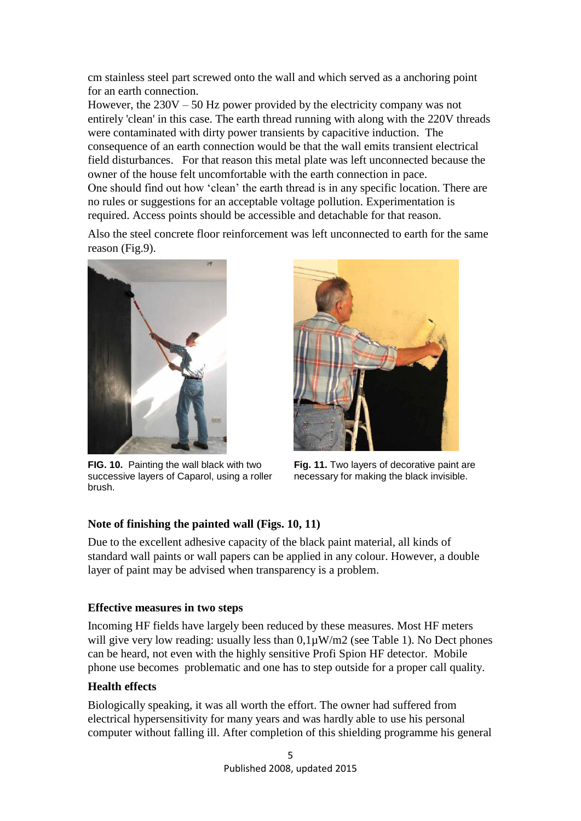cm stainless steel part screwed onto the wall and which served as a anchoring point for an earth connection.

However, the 230V – 50 Hz power provided by the electricity company was not entirely 'clean' in this case. The earth thread running with along with the 220V threads were contaminated with dirty power transients by capacitive induction. The consequence of an earth connection would be that the wall emits transient electrical field disturbances. For that reason this metal plate was left unconnected because the owner of the house felt uncomfortable with the earth connection in pace. One should find out how 'clean' the earth thread is in any specific location. There are no rules or suggestions for an acceptable voltage pollution. Experimentation is required. Access points should be accessible and detachable for that reason.

Also the steel concrete floor reinforcement was left unconnected to earth for the same reason (Fig.9).



**FIG. 10.** Painting the wall black with two successive layers of Caparol, using a roller brush.



**Fig. 11.** Two layers of decorative paint are necessary for making the black invisible.

## **Note of finishing the painted wall (Figs. 10, 11)**

Due to the excellent adhesive capacity of the black paint material, all kinds of standard wall paints or wall papers can be applied in any colour. However, a double layer of paint may be advised when transparency is a problem.

## **Effective measures in two steps**

Incoming HF fields have largely been reduced by these measures. Most HF meters will give very low reading: usually less than  $0.1\mu\text{W/m2}$  (see Table 1). No Dect phones can be heard, not even with the highly sensitive Profi Spion HF detector. Mobile phone use becomes problematic and one has to step outside for a proper call quality.

## **Health effects**

Biologically speaking, it was all worth the effort. The owner had suffered from electrical hypersensitivity for many years and was hardly able to use his personal computer without falling ill. After completion of this shielding programme his general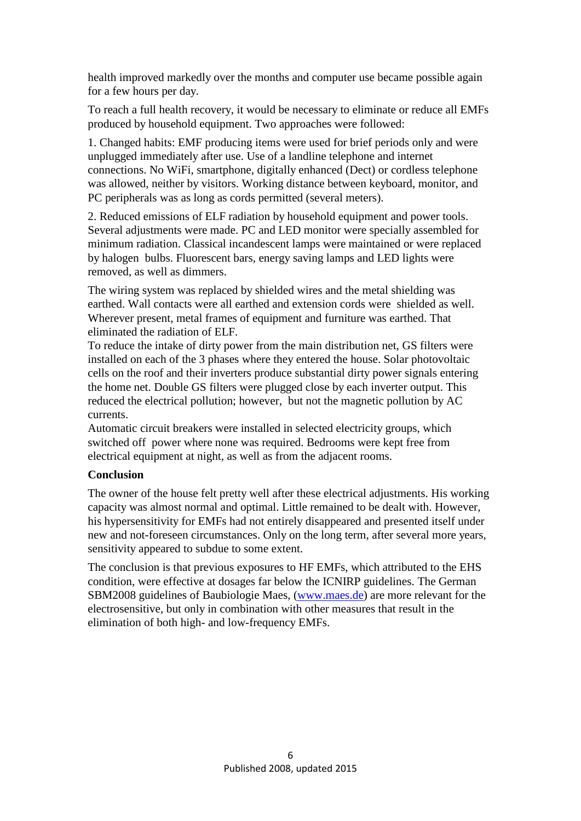health improved markedly over the months and computer use became possible again for a few hours per day.

To reach a full health recovery, it would be necessary to eliminate or reduce all EMFs produced by household equipment. Two approaches were followed:

1. Changed habits: EMF producing items were used for brief periods only and were unplugged immediately after use. Use of a landline telephone and internet connections. No WiFi, smartphone, digitally enhanced (Dect) or cordless telephone was allowed, neither by visitors. Working distance between keyboard, monitor, and PC peripherals was as long as cords permitted (several meters).

2. Reduced emissions of ELF radiation by household equipment and power tools. Several adjustments were made. PC and LED monitor were specially assembled for minimum radiation. Classical incandescent lamps were maintained or were replaced by halogen bulbs. Fluorescent bars, energy saving lamps and LED lights were removed, as well as dimmers.

The wiring system was replaced by shielded wires and the metal shielding was earthed. Wall contacts were all earthed and extension cords were shielded as well. Wherever present, metal frames of equipment and furniture was earthed. That eliminated the radiation of ELF.

To reduce the intake of dirty power from the main distribution net, GS filters were installed on each of the 3 phases where they entered the house. Solar photovoltaic cells on the roof and their inverters produce substantial dirty power signals entering the home net. Double GS filters were plugged close by each inverter output. This reduced the electrical pollution; however, but not the magnetic pollution by AC currents.

Automatic circuit breakers were installed in selected electricity groups, which switched off power where none was required. Bedrooms were kept free from electrical equipment at night, as well as from the adjacent rooms.

## **Conclusion**

The owner of the house felt pretty well after these electrical adjustments. His working capacity was almost normal and optimal. Little remained to be dealt with. However, his hypersensitivity for EMFs had not entirely disappeared and presented itself under new and not-foreseen circumstances. Only on the long term, after several more years, sensitivity appeared to subdue to some extent.

The conclusion is that previous exposures to HF EMFs, which attributed to the EHS condition, were effective at dosages far below the ICNIRP guidelines. The German SBM2008 guidelines of Baubiologie Maes, [\(www.maes.de\)](http://www.maes.de/) are more relevant for the electrosensitive, but only in combination with other measures that result in the elimination of both high- and low-frequency EMFs.